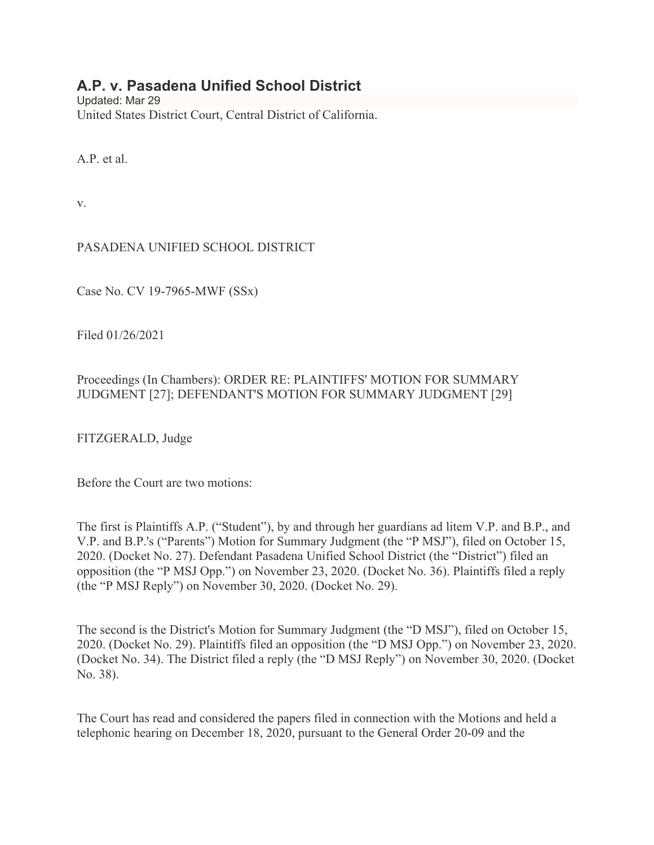# **A.P. v. Pasadena Unified School District**

Updated: Mar 29 United States District Court, Central District of California.

A.P. et al.

v.

PASADENA UNIFIED SCHOOL DISTRICT

Case No. CV 19-7965-MWF (SSx)

Filed 01/26/2021

## Proceedings (In Chambers): ORDER RE: PLAINTIFFS' MOTION FOR SUMMARY JUDGMENT [27]; DEFENDANT'S MOTION FOR SUMMARY JUDGMENT [29]

FITZGERALD, Judge

Before the Court are two motions:

The first is Plaintiffs A.P. ("Student"), by and through her guardians ad litem V.P. and B.P., and V.P. and B.P.'s ("Parents") Motion for Summary Judgment (the "P MSJ"), filed on October 15, 2020. (Docket No. 27). Defendant Pasadena Unified School District (the "District") filed an opposition (the "P MSJ Opp.") on November 23, 2020. (Docket No. 36). Plaintiffs filed a reply (the "P MSJ Reply") on November 30, 2020. (Docket No. 29).

The second is the District's Motion for Summary Judgment (the "D MSJ"), filed on October 15, 2020. (Docket No. 29). Plaintiffs filed an opposition (the "D MSJ Opp.") on November 23, 2020. (Docket No. 34). The District filed a reply (the "D MSJ Reply") on November 30, 2020. (Docket No. 38).

The Court has read and considered the papers filed in connection with the Motions and held a telephonic hearing on December 18, 2020, pursuant to the General Order 20-09 and the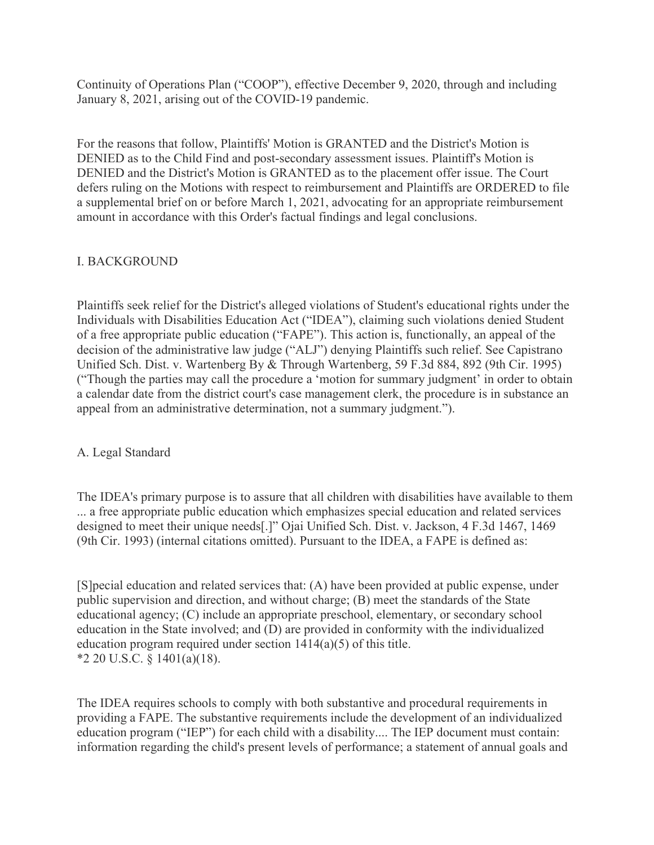Continuity of Operations Plan ("COOP"), effective December 9, 2020, through and including January 8, 2021, arising out of the COVID-19 pandemic.

For the reasons that follow, Plaintiffs' Motion is GRANTED and the District's Motion is DENIED as to the Child Find and post-secondary assessment issues. Plaintiff's Motion is DENIED and the District's Motion is GRANTED as to the placement offer issue. The Court defers ruling on the Motions with respect to reimbursement and Plaintiffs are ORDERED to file a supplemental brief on or before March 1, 2021, advocating for an appropriate reimbursement amount in accordance with this Order's factual findings and legal conclusions.

## I. BACKGROUND

Plaintiffs seek relief for the District's alleged violations of Student's educational rights under the Individuals with Disabilities Education Act ("IDEA"), claiming such violations denied Student of a free appropriate public education ("FAPE"). This action is, functionally, an appeal of the decision of the administrative law judge ("ALJ") denying Plaintiffs such relief. See Capistrano Unified Sch. Dist. v. Wartenberg By & Through Wartenberg, 59 F.3d 884, 892 (9th Cir. 1995) ("Though the parties may call the procedure a 'motion for summary judgment' in order to obtain a calendar date from the district court's case management clerk, the procedure is in substance an appeal from an administrative determination, not a summary judgment.").

## A. Legal Standard

The IDEA's primary purpose is to assure that all children with disabilities have available to them ... a free appropriate public education which emphasizes special education and related services designed to meet their unique needs[.]" Ojai Unified Sch. Dist. v. Jackson, 4 F.3d 1467, 1469 (9th Cir. 1993) (internal citations omitted). Pursuant to the IDEA, a FAPE is defined as:

[S]pecial education and related services that: (A) have been provided at public expense, under public supervision and direction, and without charge; (B) meet the standards of the State educational agency; (C) include an appropriate preschool, elementary, or secondary school education in the State involved; and (D) are provided in conformity with the individualized education program required under section 1414(a)(5) of this title.  $*2$  20 U.S.C. § 1401(a)(18).

The IDEA requires schools to comply with both substantive and procedural requirements in providing a FAPE. The substantive requirements include the development of an individualized education program ("IEP") for each child with a disability.... The IEP document must contain: information regarding the child's present levels of performance; a statement of annual goals and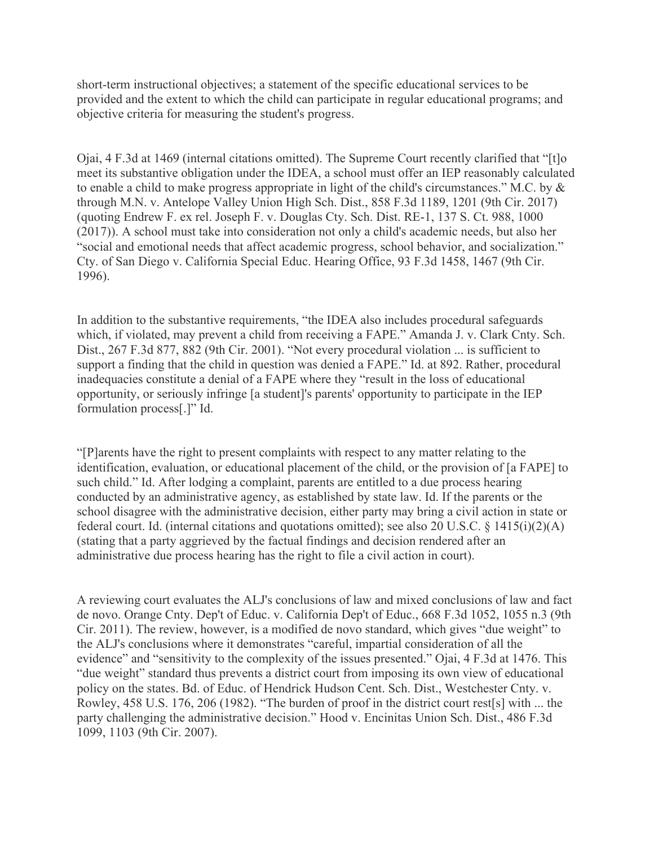short-term instructional objectives; a statement of the specific educational services to be provided and the extent to which the child can participate in regular educational programs; and objective criteria for measuring the student's progress.

Ojai, 4 F.3d at 1469 (internal citations omitted). The Supreme Court recently clarified that "[t]o meet its substantive obligation under the IDEA, a school must offer an IEP reasonably calculated to enable a child to make progress appropriate in light of the child's circumstances." M.C. by & through M.N. v. Antelope Valley Union High Sch. Dist., 858 F.3d 1189, 1201 (9th Cir. 2017) (quoting Endrew F. ex rel. Joseph F. v. Douglas Cty. Sch. Dist. RE-1, 137 S. Ct. 988, 1000 (2017)). A school must take into consideration not only a child's academic needs, but also her "social and emotional needs that affect academic progress, school behavior, and socialization." Cty. of San Diego v. California Special Educ. Hearing Office, 93 F.3d 1458, 1467 (9th Cir. 1996).

In addition to the substantive requirements, "the IDEA also includes procedural safeguards which, if violated, may prevent a child from receiving a FAPE." Amanda J. v. Clark Cnty. Sch. Dist., 267 F.3d 877, 882 (9th Cir. 2001). "Not every procedural violation ... is sufficient to support a finding that the child in question was denied a FAPE." Id. at 892. Rather, procedural inadequacies constitute a denial of a FAPE where they "result in the loss of educational opportunity, or seriously infringe [a student]'s parents' opportunity to participate in the IEP formulation process[.]" Id.

"[P]arents have the right to present complaints with respect to any matter relating to the identification, evaluation, or educational placement of the child, or the provision of [a FAPE] to such child." Id. After lodging a complaint, parents are entitled to a due process hearing conducted by an administrative agency, as established by state law. Id. If the parents or the school disagree with the administrative decision, either party may bring a civil action in state or federal court. Id. (internal citations and quotations omitted); see also 20 U.S.C. § 1415(i)(2)(A) (stating that a party aggrieved by the factual findings and decision rendered after an administrative due process hearing has the right to file a civil action in court).

A reviewing court evaluates the ALJ's conclusions of law and mixed conclusions of law and fact de novo. Orange Cnty. Dep't of Educ. v. California Dep't of Educ., 668 F.3d 1052, 1055 n.3 (9th Cir. 2011). The review, however, is a modified de novo standard, which gives "due weight" to the ALJ's conclusions where it demonstrates "careful, impartial consideration of all the evidence" and "sensitivity to the complexity of the issues presented." Ojai, 4 F.3d at 1476. This "due weight" standard thus prevents a district court from imposing its own view of educational policy on the states. Bd. of Educ. of Hendrick Hudson Cent. Sch. Dist., Westchester Cnty. v. Rowley, 458 U.S. 176, 206 (1982). "The burden of proof in the district court rest[s] with ... the party challenging the administrative decision." Hood v. Encinitas Union Sch. Dist., 486 F.3d 1099, 1103 (9th Cir. 2007).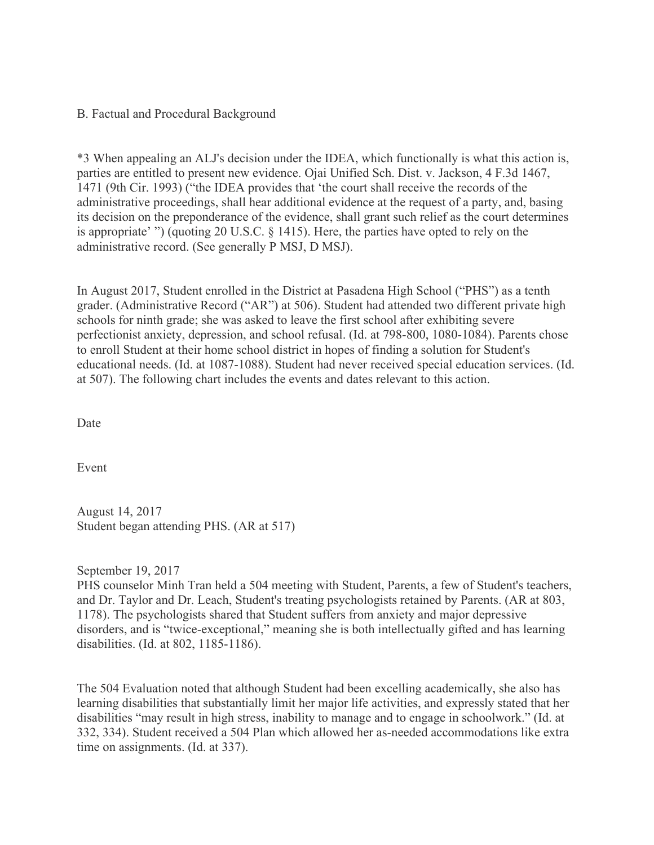#### B. Factual and Procedural Background

\*3 When appealing an ALJ's decision under the IDEA, which functionally is what this action is, parties are entitled to present new evidence. Ojai Unified Sch. Dist. v. Jackson, 4 F.3d 1467, 1471 (9th Cir. 1993) ("the IDEA provides that 'the court shall receive the records of the administrative proceedings, shall hear additional evidence at the request of a party, and, basing its decision on the preponderance of the evidence, shall grant such relief as the court determines is appropriate' ") (quoting 20 U.S.C. § 1415). Here, the parties have opted to rely on the administrative record. (See generally P MSJ, D MSJ).

In August 2017, Student enrolled in the District at Pasadena High School ("PHS") as a tenth grader. (Administrative Record ("AR") at 506). Student had attended two different private high schools for ninth grade; she was asked to leave the first school after exhibiting severe perfectionist anxiety, depression, and school refusal. (Id. at 798-800, 1080-1084). Parents chose to enroll Student at their home school district in hopes of finding a solution for Student's educational needs. (Id. at 1087-1088). Student had never received special education services. (Id. at 507). The following chart includes the events and dates relevant to this action.

Date

Event

August 14, 2017 Student began attending PHS. (AR at 517)

September 19, 2017

PHS counselor Minh Tran held a 504 meeting with Student, Parents, a few of Student's teachers, and Dr. Taylor and Dr. Leach, Student's treating psychologists retained by Parents. (AR at 803, 1178). The psychologists shared that Student suffers from anxiety and major depressive disorders, and is "twice-exceptional," meaning she is both intellectually gifted and has learning disabilities. (Id. at 802, 1185-1186).

The 504 Evaluation noted that although Student had been excelling academically, she also has learning disabilities that substantially limit her major life activities, and expressly stated that her disabilities "may result in high stress, inability to manage and to engage in schoolwork." (Id. at 332, 334). Student received a 504 Plan which allowed her as-needed accommodations like extra time on assignments. (Id. at 337).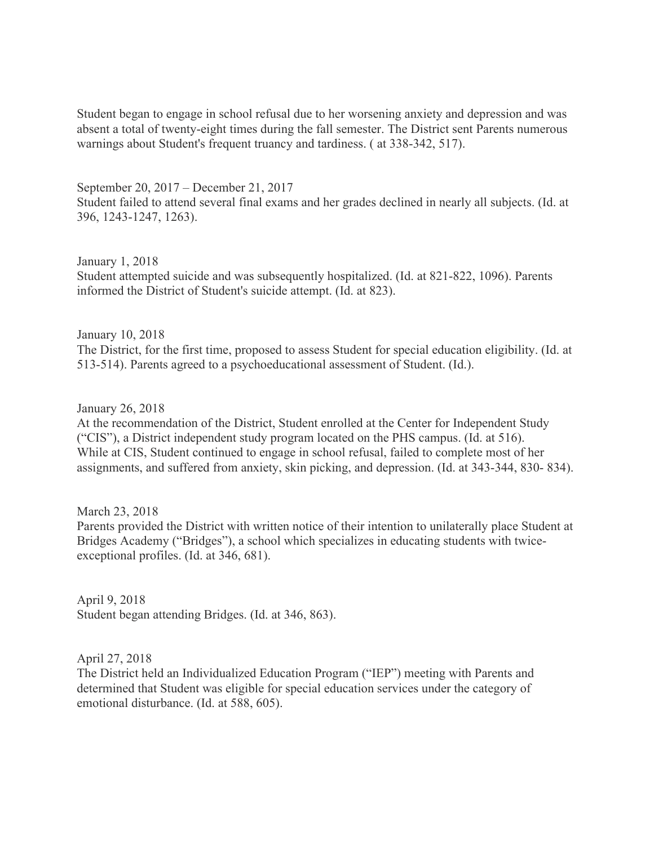Student began to engage in school refusal due to her worsening anxiety and depression and was absent a total of twenty-eight times during the fall semester. The District sent Parents numerous warnings about Student's frequent truancy and tardiness. ( at 338-342, 517).

September 20, 2017 – December 21, 2017 Student failed to attend several final exams and her grades declined in nearly all subjects. (Id. at 396, 1243-1247, 1263).

January 1, 2018 Student attempted suicide and was subsequently hospitalized. (Id. at 821-822, 1096). Parents informed the District of Student's suicide attempt. (Id. at 823).

January 10, 2018 The District, for the first time, proposed to assess Student for special education eligibility. (Id. at 513-514). Parents agreed to a psychoeducational assessment of Student. (Id.).

January 26, 2018

At the recommendation of the District, Student enrolled at the Center for Independent Study ("CIS"), a District independent study program located on the PHS campus. (Id. at 516). While at CIS, Student continued to engage in school refusal, failed to complete most of her assignments, and suffered from anxiety, skin picking, and depression. (Id. at 343-344, 830- 834).

March 23, 2018

Parents provided the District with written notice of their intention to unilaterally place Student at Bridges Academy ("Bridges"), a school which specializes in educating students with twiceexceptional profiles. (Id. at 346, 681).

April 9, 2018 Student began attending Bridges. (Id. at 346, 863).

April 27, 2018

The District held an Individualized Education Program ("IEP") meeting with Parents and determined that Student was eligible for special education services under the category of emotional disturbance. (Id. at 588, 605).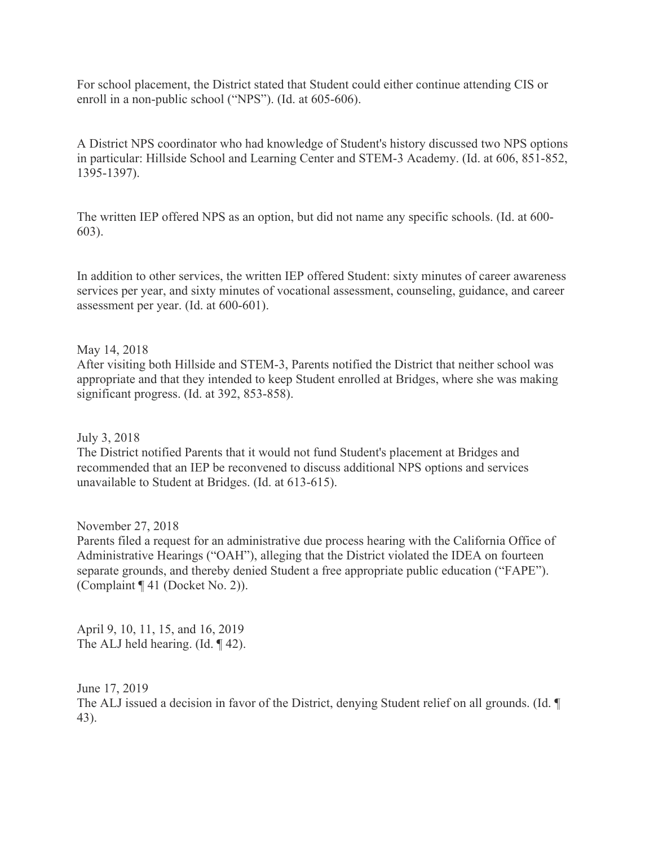For school placement, the District stated that Student could either continue attending CIS or enroll in a non-public school ("NPS"). (Id. at 605-606).

A District NPS coordinator who had knowledge of Student's history discussed two NPS options in particular: Hillside School and Learning Center and STEM-3 Academy. (Id. at 606, 851-852, 1395-1397).

The written IEP offered NPS as an option, but did not name any specific schools. (Id. at 600- 603).

In addition to other services, the written IEP offered Student: sixty minutes of career awareness services per year, and sixty minutes of vocational assessment, counseling, guidance, and career assessment per year. (Id. at 600-601).

#### May 14, 2018

After visiting both Hillside and STEM-3, Parents notified the District that neither school was appropriate and that they intended to keep Student enrolled at Bridges, where she was making significant progress. (Id. at 392, 853-858).

July 3, 2018

The District notified Parents that it would not fund Student's placement at Bridges and recommended that an IEP be reconvened to discuss additional NPS options and services unavailable to Student at Bridges. (Id. at 613-615).

November 27, 2018 Parents filed a request for an administrative due process hearing with the California Office of Administrative Hearings ("OAH"), alleging that the District violated the IDEA on fourteen separate grounds, and thereby denied Student a free appropriate public education ("FAPE"). (Complaint ¶ 41 (Docket No. 2)).

April 9, 10, 11, 15, and 16, 2019 The ALJ held hearing. (Id. ¶ 42).

June 17, 2019 The ALJ issued a decision in favor of the District, denying Student relief on all grounds. (Id. ¶ 43).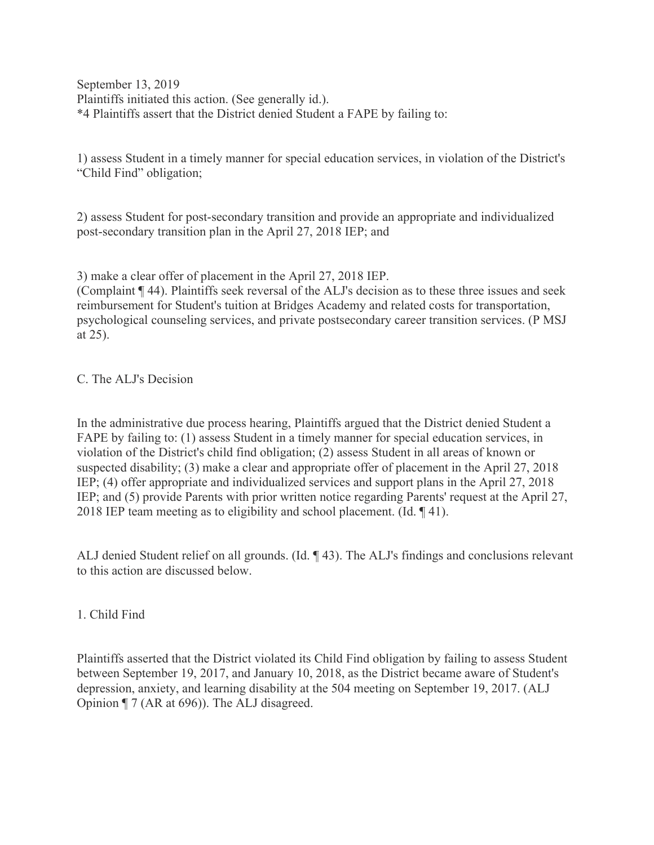September 13, 2019 Plaintiffs initiated this action. (See generally id.). \*4 Plaintiffs assert that the District denied Student a FAPE by failing to:

1) assess Student in a timely manner for special education services, in violation of the District's "Child Find" obligation;

2) assess Student for post-secondary transition and provide an appropriate and individualized post-secondary transition plan in the April 27, 2018 IEP; and

3) make a clear offer of placement in the April 27, 2018 IEP.

(Complaint ¶ 44). Plaintiffs seek reversal of the ALJ's decision as to these three issues and seek reimbursement for Student's tuition at Bridges Academy and related costs for transportation, psychological counseling services, and private postsecondary career transition services. (P MSJ at 25).

#### C. The ALJ's Decision

In the administrative due process hearing, Plaintiffs argued that the District denied Student a FAPE by failing to: (1) assess Student in a timely manner for special education services, in violation of the District's child find obligation; (2) assess Student in all areas of known or suspected disability; (3) make a clear and appropriate offer of placement in the April 27, 2018 IEP; (4) offer appropriate and individualized services and support plans in the April 27, 2018 IEP; and (5) provide Parents with prior written notice regarding Parents' request at the April 27, 2018 IEP team meeting as to eligibility and school placement. (Id. ¶ 41).

ALJ denied Student relief on all grounds. (Id. ¶ 43). The ALJ's findings and conclusions relevant to this action are discussed below.

#### 1. Child Find

Plaintiffs asserted that the District violated its Child Find obligation by failing to assess Student between September 19, 2017, and January 10, 2018, as the District became aware of Student's depression, anxiety, and learning disability at the 504 meeting on September 19, 2017. (ALJ Opinion ¶ 7 (AR at 696)). The ALJ disagreed.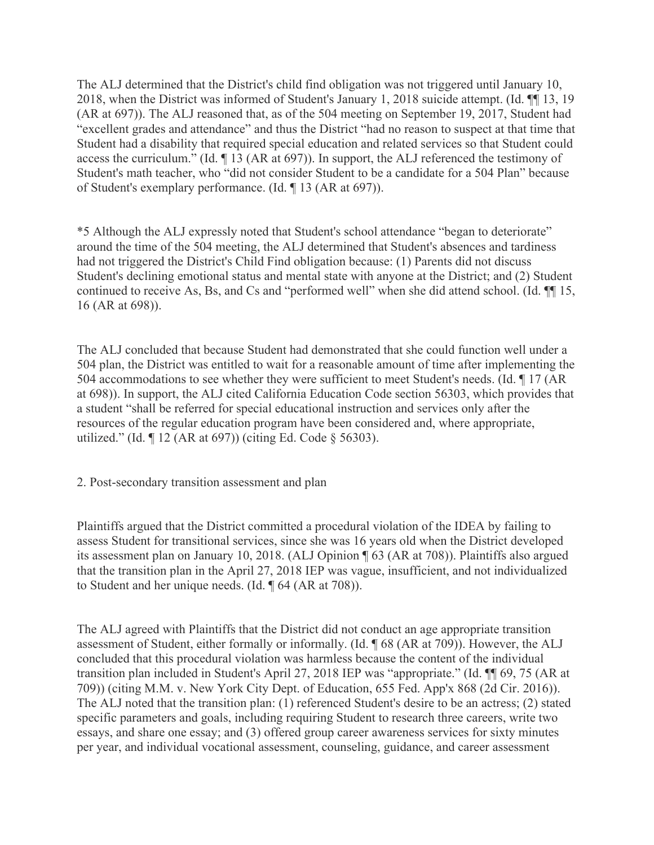The ALJ determined that the District's child find obligation was not triggered until January 10, 2018, when the District was informed of Student's January 1, 2018 suicide attempt. (Id. ¶¶ 13, 19 (AR at 697)). The ALJ reasoned that, as of the 504 meeting on September 19, 2017, Student had "excellent grades and attendance" and thus the District "had no reason to suspect at that time that Student had a disability that required special education and related services so that Student could access the curriculum." (Id. ¶ 13 (AR at 697)). In support, the ALJ referenced the testimony of Student's math teacher, who "did not consider Student to be a candidate for a 504 Plan" because of Student's exemplary performance. (Id. ¶ 13 (AR at 697)).

\*5 Although the ALJ expressly noted that Student's school attendance "began to deteriorate" around the time of the 504 meeting, the ALJ determined that Student's absences and tardiness had not triggered the District's Child Find obligation because: (1) Parents did not discuss Student's declining emotional status and mental state with anyone at the District; and (2) Student continued to receive As, Bs, and Cs and "performed well" when she did attend school. (Id. ¶¶ 15, 16 (AR at 698)).

The ALJ concluded that because Student had demonstrated that she could function well under a 504 plan, the District was entitled to wait for a reasonable amount of time after implementing the 504 accommodations to see whether they were sufficient to meet Student's needs. (Id. ¶ 17 (AR at 698)). In support, the ALJ cited California Education Code section 56303, which provides that a student "shall be referred for special educational instruction and services only after the resources of the regular education program have been considered and, where appropriate, utilized." (Id. ¶ 12 (AR at 697)) (citing Ed. Code § 56303).

2. Post-secondary transition assessment and plan

Plaintiffs argued that the District committed a procedural violation of the IDEA by failing to assess Student for transitional services, since she was 16 years old when the District developed its assessment plan on January 10, 2018. (ALJ Opinion ¶ 63 (AR at 708)). Plaintiffs also argued that the transition plan in the April 27, 2018 IEP was vague, insufficient, and not individualized to Student and her unique needs. (Id. ¶ 64 (AR at 708)).

The ALJ agreed with Plaintiffs that the District did not conduct an age appropriate transition assessment of Student, either formally or informally. (Id. ¶ 68 (AR at 709)). However, the ALJ concluded that this procedural violation was harmless because the content of the individual transition plan included in Student's April 27, 2018 IEP was "appropriate." (Id. ¶¶ 69, 75 (AR at 709)) (citing M.M. v. New York City Dept. of Education, 655 Fed. App'x 868 (2d Cir. 2016)). The ALJ noted that the transition plan: (1) referenced Student's desire to be an actress; (2) stated specific parameters and goals, including requiring Student to research three careers, write two essays, and share one essay; and (3) offered group career awareness services for sixty minutes per year, and individual vocational assessment, counseling, guidance, and career assessment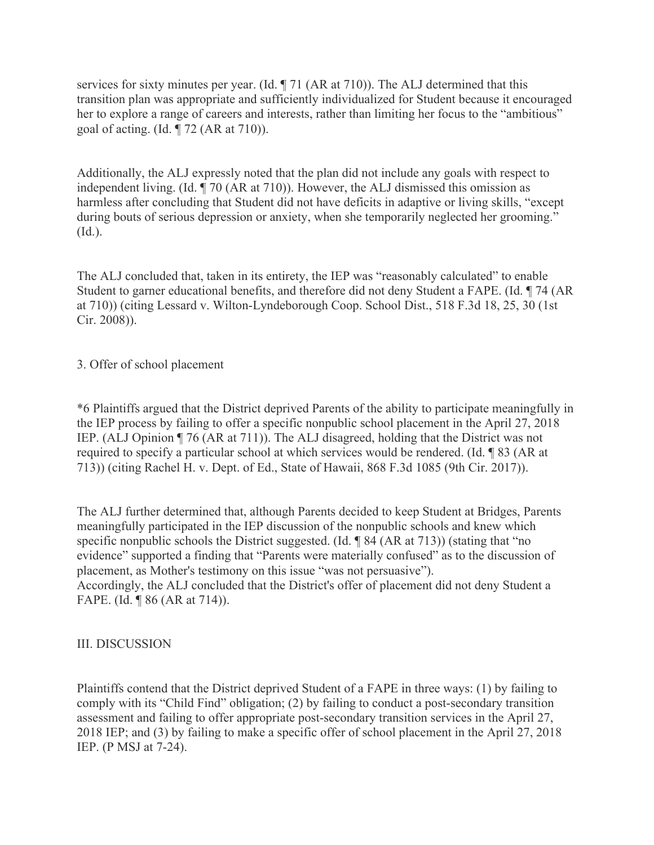services for sixty minutes per year. (Id. ¶ 71 (AR at 710)). The ALJ determined that this transition plan was appropriate and sufficiently individualized for Student because it encouraged her to explore a range of careers and interests, rather than limiting her focus to the "ambitious" goal of acting. (Id. ¶ 72 (AR at 710)).

Additionally, the ALJ expressly noted that the plan did not include any goals with respect to independent living. (Id. ¶ 70 (AR at 710)). However, the ALJ dismissed this omission as harmless after concluding that Student did not have deficits in adaptive or living skills, "except during bouts of serious depression or anxiety, when she temporarily neglected her grooming." (Id.).

The ALJ concluded that, taken in its entirety, the IEP was "reasonably calculated" to enable Student to garner educational benefits, and therefore did not deny Student a FAPE. (Id. ¶ 74 (AR at 710)) (citing Lessard v. Wilton-Lyndeborough Coop. School Dist., 518 F.3d 18, 25, 30 (1st Cir. 2008)).

## 3. Offer of school placement

\*6 Plaintiffs argued that the District deprived Parents of the ability to participate meaningfully in the IEP process by failing to offer a specific nonpublic school placement in the April 27, 2018 IEP. (ALJ Opinion ¶ 76 (AR at 711)). The ALJ disagreed, holding that the District was not required to specify a particular school at which services would be rendered. (Id. ¶ 83 (AR at 713)) (citing Rachel H. v. Dept. of Ed., State of Hawaii, 868 F.3d 1085 (9th Cir. 2017)).

The ALJ further determined that, although Parents decided to keep Student at Bridges, Parents meaningfully participated in the IEP discussion of the nonpublic schools and knew which specific nonpublic schools the District suggested. (Id. ¶ 84 (AR at 713)) (stating that "no evidence" supported a finding that "Parents were materially confused" as to the discussion of placement, as Mother's testimony on this issue "was not persuasive"). Accordingly, the ALJ concluded that the District's offer of placement did not deny Student a FAPE. (Id. ¶ 86 (AR at 714)).

## III. DISCUSSION

Plaintiffs contend that the District deprived Student of a FAPE in three ways: (1) by failing to comply with its "Child Find" obligation; (2) by failing to conduct a post-secondary transition assessment and failing to offer appropriate post-secondary transition services in the April 27, 2018 IEP; and (3) by failing to make a specific offer of school placement in the April 27, 2018 IEP. (P MSJ at 7-24).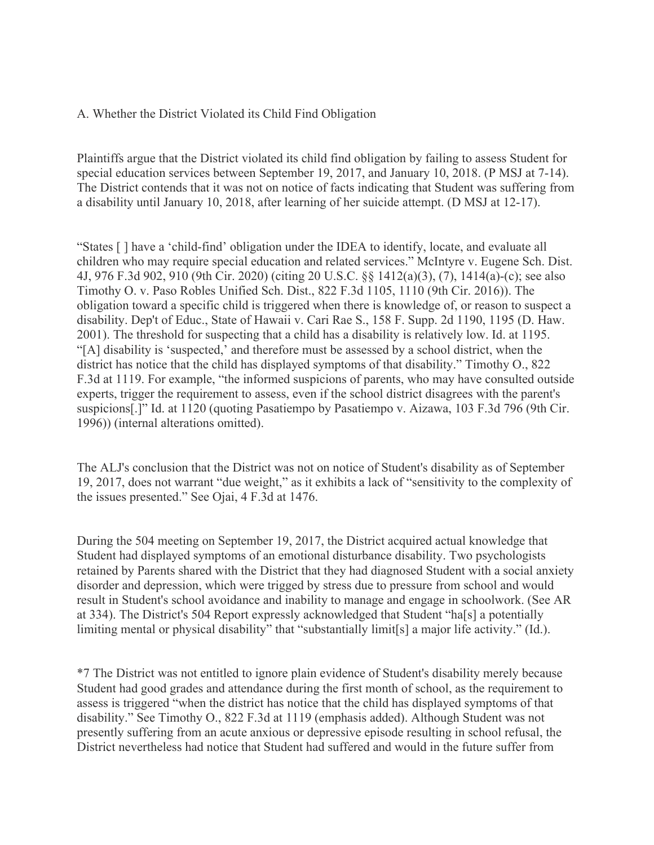### A. Whether the District Violated its Child Find Obligation

Plaintiffs argue that the District violated its child find obligation by failing to assess Student for special education services between September 19, 2017, and January 10, 2018. (P MSJ at 7-14). The District contends that it was not on notice of facts indicating that Student was suffering from a disability until January 10, 2018, after learning of her suicide attempt. (D MSJ at 12-17).

"States [ ] have a 'child-find' obligation under the IDEA to identify, locate, and evaluate all children who may require special education and related services." McIntyre v. Eugene Sch. Dist. 4J, 976 F.3d 902, 910 (9th Cir. 2020) (citing 20 U.S.C. §§ 1412(a)(3), (7), 1414(a)-(c); see also Timothy O. v. Paso Robles Unified Sch. Dist., 822 F.3d 1105, 1110 (9th Cir. 2016)). The obligation toward a specific child is triggered when there is knowledge of, or reason to suspect a disability. Dep't of Educ., State of Hawaii v. Cari Rae S., 158 F. Supp. 2d 1190, 1195 (D. Haw. 2001). The threshold for suspecting that a child has a disability is relatively low. Id. at 1195. "[A] disability is 'suspected,' and therefore must be assessed by a school district, when the district has notice that the child has displayed symptoms of that disability." Timothy O., 822 F.3d at 1119. For example, "the informed suspicions of parents, who may have consulted outside experts, trigger the requirement to assess, even if the school district disagrees with the parent's suspicions[.]" Id. at 1120 (quoting Pasatiempo by Pasatiempo v. Aizawa, 103 F.3d 796 (9th Cir. 1996)) (internal alterations omitted).

The ALJ's conclusion that the District was not on notice of Student's disability as of September 19, 2017, does not warrant "due weight," as it exhibits a lack of "sensitivity to the complexity of the issues presented." See Ojai, 4 F.3d at 1476.

During the 504 meeting on September 19, 2017, the District acquired actual knowledge that Student had displayed symptoms of an emotional disturbance disability. Two psychologists retained by Parents shared with the District that they had diagnosed Student with a social anxiety disorder and depression, which were trigged by stress due to pressure from school and would result in Student's school avoidance and inability to manage and engage in schoolwork. (See AR at 334). The District's 504 Report expressly acknowledged that Student "ha[s] a potentially limiting mental or physical disability" that "substantially limit[s] a major life activity." (Id.).

\*7 The District was not entitled to ignore plain evidence of Student's disability merely because Student had good grades and attendance during the first month of school, as the requirement to assess is triggered "when the district has notice that the child has displayed symptoms of that disability." See Timothy O., 822 F.3d at 1119 (emphasis added). Although Student was not presently suffering from an acute anxious or depressive episode resulting in school refusal, the District nevertheless had notice that Student had suffered and would in the future suffer from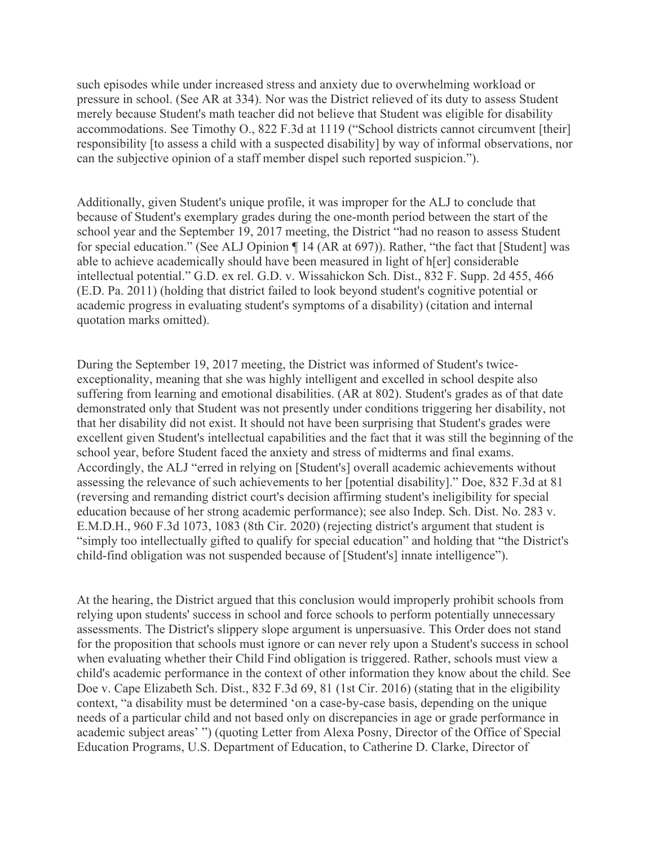such episodes while under increased stress and anxiety due to overwhelming workload or pressure in school. (See AR at 334). Nor was the District relieved of its duty to assess Student merely because Student's math teacher did not believe that Student was eligible for disability accommodations. See Timothy O., 822 F.3d at 1119 ("School districts cannot circumvent [their] responsibility [to assess a child with a suspected disability] by way of informal observations, nor can the subjective opinion of a staff member dispel such reported suspicion.").

Additionally, given Student's unique profile, it was improper for the ALJ to conclude that because of Student's exemplary grades during the one-month period between the start of the school year and the September 19, 2017 meeting, the District "had no reason to assess Student for special education." (See ALJ Opinion ¶ 14 (AR at 697)). Rather, "the fact that [Student] was able to achieve academically should have been measured in light of h[er] considerable intellectual potential." G.D. ex rel. G.D. v. Wissahickon Sch. Dist., 832 F. Supp. 2d 455, 466 (E.D. Pa. 2011) (holding that district failed to look beyond student's cognitive potential or academic progress in evaluating student's symptoms of a disability) (citation and internal quotation marks omitted).

During the September 19, 2017 meeting, the District was informed of Student's twiceexceptionality, meaning that she was highly intelligent and excelled in school despite also suffering from learning and emotional disabilities. (AR at 802). Student's grades as of that date demonstrated only that Student was not presently under conditions triggering her disability, not that her disability did not exist. It should not have been surprising that Student's grades were excellent given Student's intellectual capabilities and the fact that it was still the beginning of the school year, before Student faced the anxiety and stress of midterms and final exams. Accordingly, the ALJ "erred in relying on [Student's] overall academic achievements without assessing the relevance of such achievements to her [potential disability]." Doe, 832 F.3d at 81 (reversing and remanding district court's decision affirming student's ineligibility for special education because of her strong academic performance); see also Indep. Sch. Dist. No. 283 v. E.M.D.H., 960 F.3d 1073, 1083 (8th Cir. 2020) (rejecting district's argument that student is "simply too intellectually gifted to qualify for special education" and holding that "the District's child-find obligation was not suspended because of [Student's] innate intelligence").

At the hearing, the District argued that this conclusion would improperly prohibit schools from relying upon students' success in school and force schools to perform potentially unnecessary assessments. The District's slippery slope argument is unpersuasive. This Order does not stand for the proposition that schools must ignore or can never rely upon a Student's success in school when evaluating whether their Child Find obligation is triggered. Rather, schools must view a child's academic performance in the context of other information they know about the child. See Doe v. Cape Elizabeth Sch. Dist., 832 F.3d 69, 81 (1st Cir. 2016) (stating that in the eligibility context, "a disability must be determined 'on a case-by-case basis, depending on the unique needs of a particular child and not based only on discrepancies in age or grade performance in academic subject areas' ") (quoting Letter from Alexa Posny, Director of the Office of Special Education Programs, U.S. Department of Education, to Catherine D. Clarke, Director of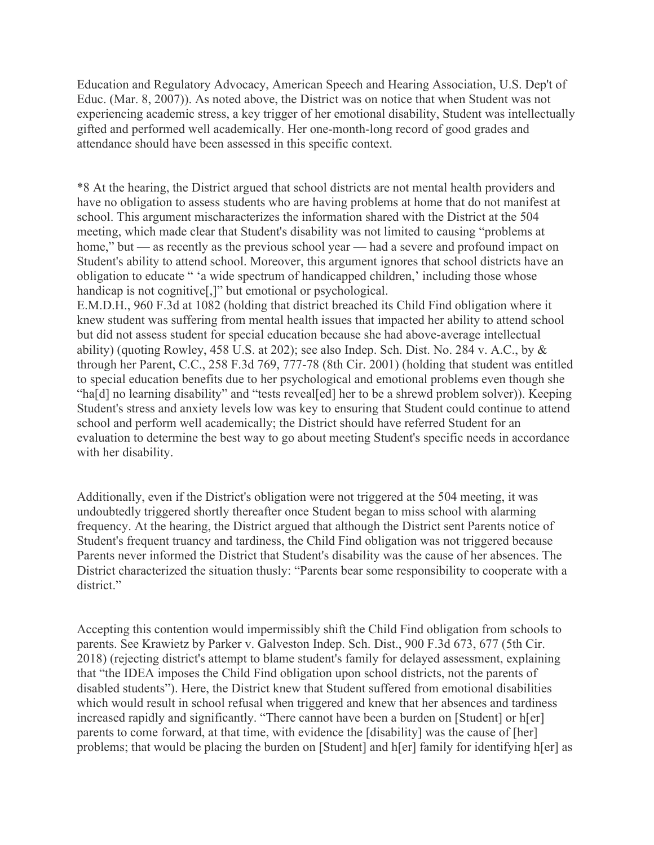Education and Regulatory Advocacy, American Speech and Hearing Association, U.S. Dep't of Educ. (Mar. 8, 2007)). As noted above, the District was on notice that when Student was not experiencing academic stress, a key trigger of her emotional disability, Student was intellectually gifted and performed well academically. Her one-month-long record of good grades and attendance should have been assessed in this specific context.

\*8 At the hearing, the District argued that school districts are not mental health providers and have no obligation to assess students who are having problems at home that do not manifest at school. This argument mischaracterizes the information shared with the District at the 504 meeting, which made clear that Student's disability was not limited to causing "problems at home," but — as recently as the previous school year — had a severe and profound impact on Student's ability to attend school. Moreover, this argument ignores that school districts have an obligation to educate " 'a wide spectrum of handicapped children,' including those whose handicap is not cognitive<sup>[1]</sup> but emotional or psychological.

E.M.D.H., 960 F.3d at 1082 (holding that district breached its Child Find obligation where it knew student was suffering from mental health issues that impacted her ability to attend school but did not assess student for special education because she had above-average intellectual ability) (quoting Rowley, 458 U.S. at 202); see also Indep. Sch. Dist. No. 284 v. A.C., by & through her Parent, C.C., 258 F.3d 769, 777-78 (8th Cir. 2001) (holding that student was entitled to special education benefits due to her psychological and emotional problems even though she "ha[d] no learning disability" and "tests reveal[ed] her to be a shrewd problem solver)). Keeping Student's stress and anxiety levels low was key to ensuring that Student could continue to attend school and perform well academically; the District should have referred Student for an evaluation to determine the best way to go about meeting Student's specific needs in accordance with her disability.

Additionally, even if the District's obligation were not triggered at the 504 meeting, it was undoubtedly triggered shortly thereafter once Student began to miss school with alarming frequency. At the hearing, the District argued that although the District sent Parents notice of Student's frequent truancy and tardiness, the Child Find obligation was not triggered because Parents never informed the District that Student's disability was the cause of her absences. The District characterized the situation thusly: "Parents bear some responsibility to cooperate with a district."

Accepting this contention would impermissibly shift the Child Find obligation from schools to parents. See Krawietz by Parker v. Galveston Indep. Sch. Dist., 900 F.3d 673, 677 (5th Cir. 2018) (rejecting district's attempt to blame student's family for delayed assessment, explaining that "the IDEA imposes the Child Find obligation upon school districts, not the parents of disabled students"). Here, the District knew that Student suffered from emotional disabilities which would result in school refusal when triggered and knew that her absences and tardiness increased rapidly and significantly. "There cannot have been a burden on [Student] or h[er] parents to come forward, at that time, with evidence the [disability] was the cause of [her] problems; that would be placing the burden on [Student] and h[er] family for identifying h[er] as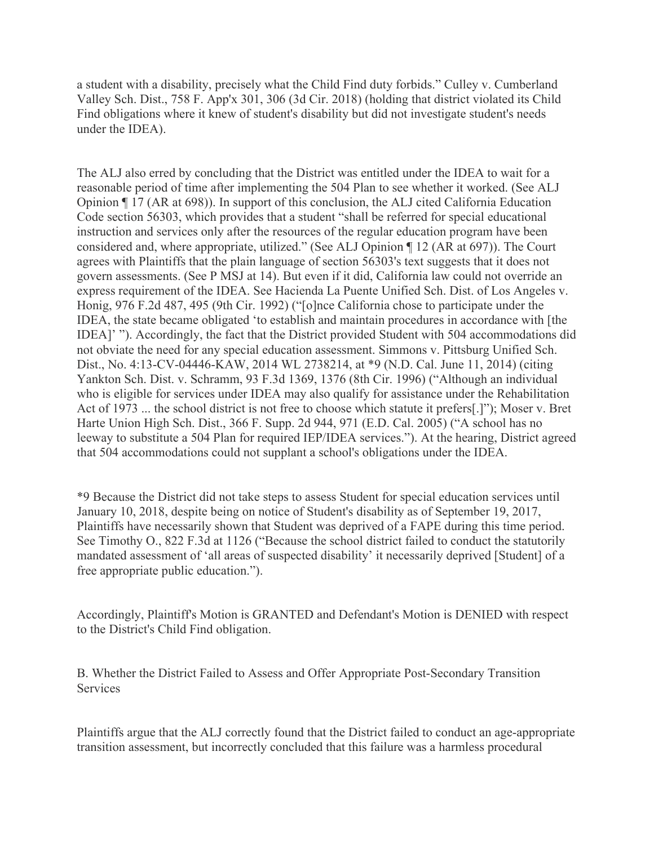a student with a disability, precisely what the Child Find duty forbids." Culley v. Cumberland Valley Sch. Dist., 758 F. App'x 301, 306 (3d Cir. 2018) (holding that district violated its Child Find obligations where it knew of student's disability but did not investigate student's needs under the IDEA).

The ALJ also erred by concluding that the District was entitled under the IDEA to wait for a reasonable period of time after implementing the 504 Plan to see whether it worked. (See ALJ Opinion ¶ 17 (AR at 698)). In support of this conclusion, the ALJ cited California Education Code section 56303, which provides that a student "shall be referred for special educational instruction and services only after the resources of the regular education program have been considered and, where appropriate, utilized." (See ALJ Opinion ¶ 12 (AR at 697)). The Court agrees with Plaintiffs that the plain language of section 56303's text suggests that it does not govern assessments. (See P MSJ at 14). But even if it did, California law could not override an express requirement of the IDEA. See Hacienda La Puente Unified Sch. Dist. of Los Angeles v. Honig, 976 F.2d 487, 495 (9th Cir. 1992) ("[o]nce California chose to participate under the IDEA, the state became obligated 'to establish and maintain procedures in accordance with [the IDEA]' "). Accordingly, the fact that the District provided Student with 504 accommodations did not obviate the need for any special education assessment. Simmons v. Pittsburg Unified Sch. Dist., No. 4:13-CV-04446-KAW, 2014 WL 2738214, at \*9 (N.D. Cal. June 11, 2014) (citing Yankton Sch. Dist. v. Schramm, 93 F.3d 1369, 1376 (8th Cir. 1996) ("Although an individual who is eligible for services under IDEA may also qualify for assistance under the Rehabilitation Act of 1973 ... the school district is not free to choose which statute it prefers[.]"); Moser v. Bret Harte Union High Sch. Dist., 366 F. Supp. 2d 944, 971 (E.D. Cal. 2005) ("A school has no leeway to substitute a 504 Plan for required IEP/IDEA services."). At the hearing, District agreed that 504 accommodations could not supplant a school's obligations under the IDEA.

\*9 Because the District did not take steps to assess Student for special education services until January 10, 2018, despite being on notice of Student's disability as of September 19, 2017, Plaintiffs have necessarily shown that Student was deprived of a FAPE during this time period. See Timothy O., 822 F.3d at 1126 ("Because the school district failed to conduct the statutorily mandated assessment of 'all areas of suspected disability' it necessarily deprived [Student] of a free appropriate public education.").

Accordingly, Plaintiff's Motion is GRANTED and Defendant's Motion is DENIED with respect to the District's Child Find obligation.

B. Whether the District Failed to Assess and Offer Appropriate Post-Secondary Transition **Services** 

Plaintiffs argue that the ALJ correctly found that the District failed to conduct an age-appropriate transition assessment, but incorrectly concluded that this failure was a harmless procedural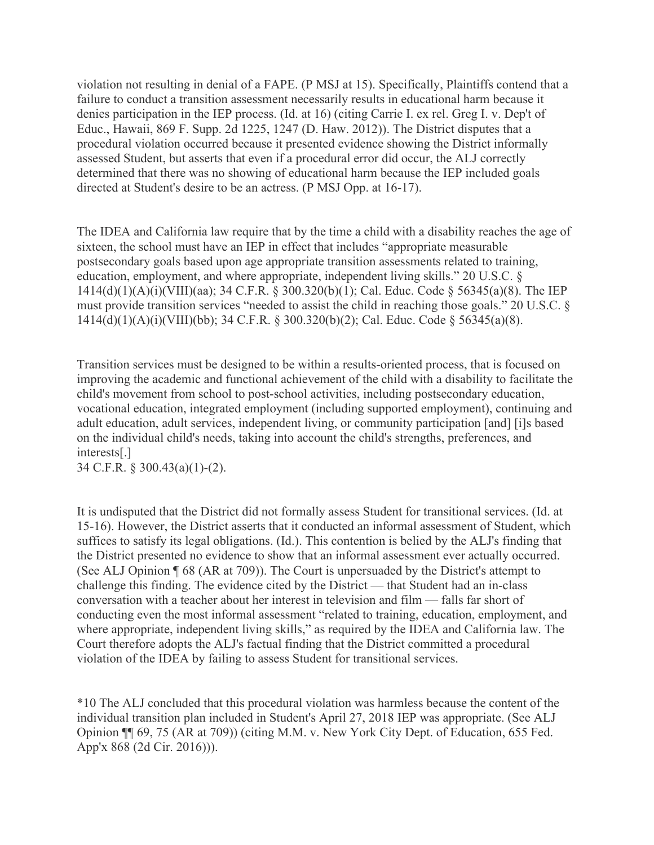violation not resulting in denial of a FAPE. (P MSJ at 15). Specifically, Plaintiffs contend that a failure to conduct a transition assessment necessarily results in educational harm because it denies participation in the IEP process. (Id. at 16) (citing Carrie I. ex rel. Greg I. v. Dep't of Educ., Hawaii, 869 F. Supp. 2d 1225, 1247 (D. Haw. 2012)). The District disputes that a procedural violation occurred because it presented evidence showing the District informally assessed Student, but asserts that even if a procedural error did occur, the ALJ correctly determined that there was no showing of educational harm because the IEP included goals directed at Student's desire to be an actress. (P MSJ Opp. at 16-17).

The IDEA and California law require that by the time a child with a disability reaches the age of sixteen, the school must have an IEP in effect that includes "appropriate measurable postsecondary goals based upon age appropriate transition assessments related to training, education, employment, and where appropriate, independent living skills." 20 U.S.C. § 1414(d)(1)(A)(i)(VIII)(aa); 34 C.F.R. § 300.320(b)(1); Cal. Educ. Code § 56345(a)(8). The IEP must provide transition services "needed to assist the child in reaching those goals." 20 U.S.C. § 1414(d)(1)(A)(i)(VIII)(bb); 34 C.F.R. § 300.320(b)(2); Cal. Educ. Code § 56345(a)(8).

Transition services must be designed to be within a results-oriented process, that is focused on improving the academic and functional achievement of the child with a disability to facilitate the child's movement from school to post-school activities, including postsecondary education, vocational education, integrated employment (including supported employment), continuing and adult education, adult services, independent living, or community participation [and] [i]s based on the individual child's needs, taking into account the child's strengths, preferences, and interests[.]

34 C.F.R. § 300.43(a)(1)-(2).

It is undisputed that the District did not formally assess Student for transitional services. (Id. at 15-16). However, the District asserts that it conducted an informal assessment of Student, which suffices to satisfy its legal obligations. (Id.). This contention is belied by the ALJ's finding that the District presented no evidence to show that an informal assessment ever actually occurred. (See ALJ Opinion ¶ 68 (AR at 709)). The Court is unpersuaded by the District's attempt to challenge this finding. The evidence cited by the District — that Student had an in-class conversation with a teacher about her interest in television and film — falls far short of conducting even the most informal assessment "related to training, education, employment, and where appropriate, independent living skills," as required by the IDEA and California law. The Court therefore adopts the ALJ's factual finding that the District committed a procedural violation of the IDEA by failing to assess Student for transitional services.

\*10 The ALJ concluded that this procedural violation was harmless because the content of the individual transition plan included in Student's April 27, 2018 IEP was appropriate. (See ALJ Opinion ¶¶ 69, 75 (AR at 709)) (citing M.M. v. New York City Dept. of Education, 655 Fed. App'x 868 (2d Cir. 2016))).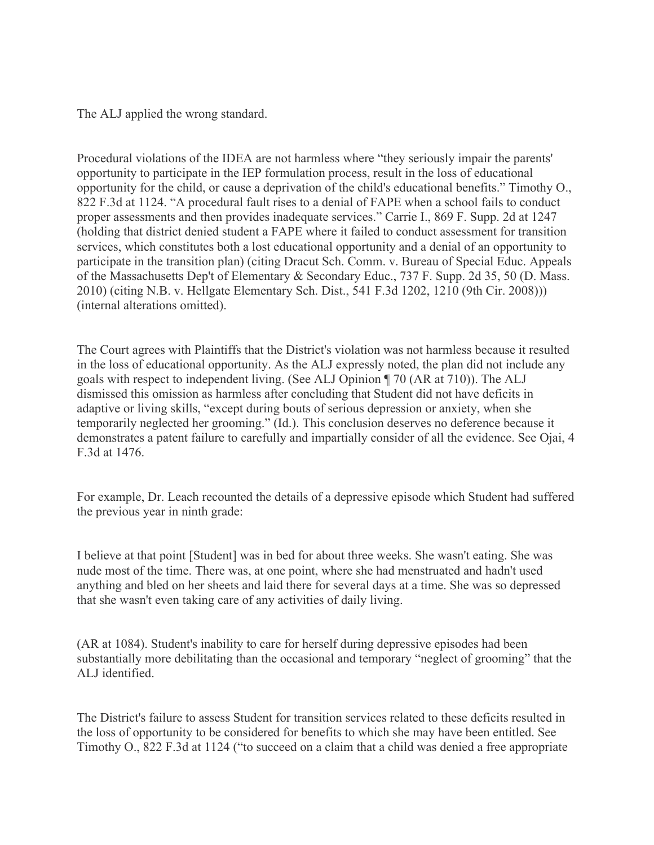The ALJ applied the wrong standard.

Procedural violations of the IDEA are not harmless where "they seriously impair the parents' opportunity to participate in the IEP formulation process, result in the loss of educational opportunity for the child, or cause a deprivation of the child's educational benefits." Timothy O., 822 F.3d at 1124. "A procedural fault rises to a denial of FAPE when a school fails to conduct proper assessments and then provides inadequate services." Carrie I., 869 F. Supp. 2d at 1247 (holding that district denied student a FAPE where it failed to conduct assessment for transition services, which constitutes both a lost educational opportunity and a denial of an opportunity to participate in the transition plan) (citing Dracut Sch. Comm. v. Bureau of Special Educ. Appeals of the Massachusetts Dep't of Elementary & Secondary Educ., 737 F. Supp. 2d 35, 50 (D. Mass. 2010) (citing N.B. v. Hellgate Elementary Sch. Dist., 541 F.3d 1202, 1210 (9th Cir. 2008))) (internal alterations omitted).

The Court agrees with Plaintiffs that the District's violation was not harmless because it resulted in the loss of educational opportunity. As the ALJ expressly noted, the plan did not include any goals with respect to independent living. (See ALJ Opinion ¶ 70 (AR at 710)). The ALJ dismissed this omission as harmless after concluding that Student did not have deficits in adaptive or living skills, "except during bouts of serious depression or anxiety, when she temporarily neglected her grooming." (Id.). This conclusion deserves no deference because it demonstrates a patent failure to carefully and impartially consider of all the evidence. See Ojai, 4 F.3d at 1476.

For example, Dr. Leach recounted the details of a depressive episode which Student had suffered the previous year in ninth grade:

I believe at that point [Student] was in bed for about three weeks. She wasn't eating. She was nude most of the time. There was, at one point, where she had menstruated and hadn't used anything and bled on her sheets and laid there for several days at a time. She was so depressed that she wasn't even taking care of any activities of daily living.

(AR at 1084). Student's inability to care for herself during depressive episodes had been substantially more debilitating than the occasional and temporary "neglect of grooming" that the ALJ identified.

The District's failure to assess Student for transition services related to these deficits resulted in the loss of opportunity to be considered for benefits to which she may have been entitled. See Timothy O., 822 F.3d at 1124 ("to succeed on a claim that a child was denied a free appropriate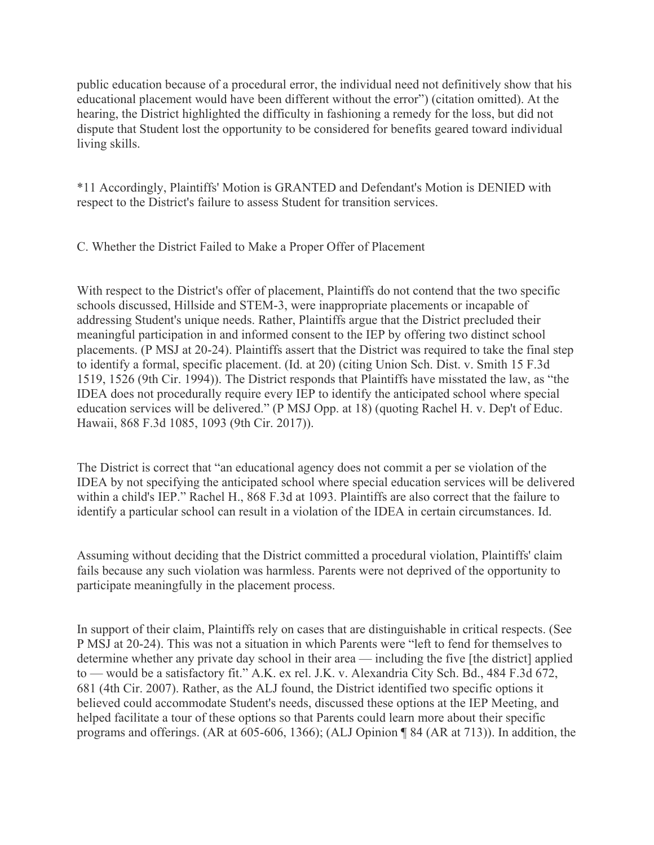public education because of a procedural error, the individual need not definitively show that his educational placement would have been different without the error") (citation omitted). At the hearing, the District highlighted the difficulty in fashioning a remedy for the loss, but did not dispute that Student lost the opportunity to be considered for benefits geared toward individual living skills.

\*11 Accordingly, Plaintiffs' Motion is GRANTED and Defendant's Motion is DENIED with respect to the District's failure to assess Student for transition services.

C. Whether the District Failed to Make a Proper Offer of Placement

With respect to the District's offer of placement, Plaintiffs do not contend that the two specific schools discussed, Hillside and STEM-3, were inappropriate placements or incapable of addressing Student's unique needs. Rather, Plaintiffs argue that the District precluded their meaningful participation in and informed consent to the IEP by offering two distinct school placements. (P MSJ at 20-24). Plaintiffs assert that the District was required to take the final step to identify a formal, specific placement. (Id. at 20) (citing Union Sch. Dist. v. Smith 15 F.3d 1519, 1526 (9th Cir. 1994)). The District responds that Plaintiffs have misstated the law, as "the IDEA does not procedurally require every IEP to identify the anticipated school where special education services will be delivered." (P MSJ Opp. at 18) (quoting Rachel H. v. Dep't of Educ. Hawaii, 868 F.3d 1085, 1093 (9th Cir. 2017)).

The District is correct that "an educational agency does not commit a per se violation of the IDEA by not specifying the anticipated school where special education services will be delivered within a child's IEP." Rachel H., 868 F.3d at 1093. Plaintiffs are also correct that the failure to identify a particular school can result in a violation of the IDEA in certain circumstances. Id.

Assuming without deciding that the District committed a procedural violation, Plaintiffs' claim fails because any such violation was harmless. Parents were not deprived of the opportunity to participate meaningfully in the placement process.

In support of their claim, Plaintiffs rely on cases that are distinguishable in critical respects. (See P MSJ at 20-24). This was not a situation in which Parents were "left to fend for themselves to determine whether any private day school in their area — including the five [the district] applied to — would be a satisfactory fit." A.K. ex rel. J.K. v. Alexandria City Sch. Bd., 484 F.3d 672, 681 (4th Cir. 2007). Rather, as the ALJ found, the District identified two specific options it believed could accommodate Student's needs, discussed these options at the IEP Meeting, and helped facilitate a tour of these options so that Parents could learn more about their specific programs and offerings. (AR at 605-606, 1366); (ALJ Opinion ¶ 84 (AR at 713)). In addition, the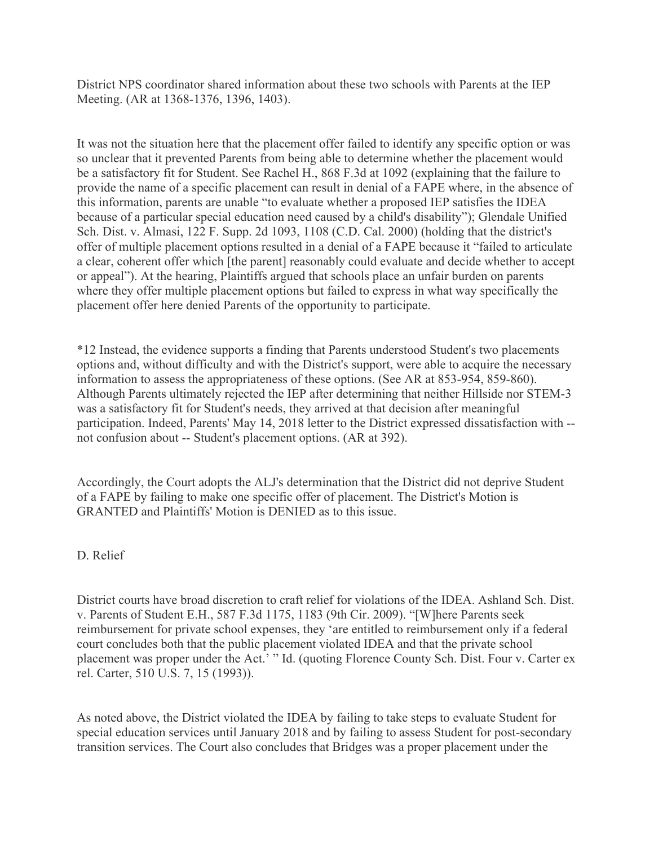District NPS coordinator shared information about these two schools with Parents at the IEP Meeting. (AR at 1368-1376, 1396, 1403).

It was not the situation here that the placement offer failed to identify any specific option or was so unclear that it prevented Parents from being able to determine whether the placement would be a satisfactory fit for Student. See Rachel H., 868 F.3d at 1092 (explaining that the failure to provide the name of a specific placement can result in denial of a FAPE where, in the absence of this information, parents are unable "to evaluate whether a proposed IEP satisfies the IDEA because of a particular special education need caused by a child's disability"); Glendale Unified Sch. Dist. v. Almasi, 122 F. Supp. 2d 1093, 1108 (C.D. Cal. 2000) (holding that the district's offer of multiple placement options resulted in a denial of a FAPE because it "failed to articulate a clear, coherent offer which [the parent] reasonably could evaluate and decide whether to accept or appeal"). At the hearing, Plaintiffs argued that schools place an unfair burden on parents where they offer multiple placement options but failed to express in what way specifically the placement offer here denied Parents of the opportunity to participate.

\*12 Instead, the evidence supports a finding that Parents understood Student's two placements options and, without difficulty and with the District's support, were able to acquire the necessary information to assess the appropriateness of these options. (See AR at 853-954, 859-860). Although Parents ultimately rejected the IEP after determining that neither Hillside nor STEM-3 was a satisfactory fit for Student's needs, they arrived at that decision after meaningful participation. Indeed, Parents' May 14, 2018 letter to the District expressed dissatisfaction with - not confusion about -- Student's placement options. (AR at 392).

Accordingly, the Court adopts the ALJ's determination that the District did not deprive Student of a FAPE by failing to make one specific offer of placement. The District's Motion is GRANTED and Plaintiffs' Motion is DENIED as to this issue.

D. Relief

District courts have broad discretion to craft relief for violations of the IDEA. Ashland Sch. Dist. v. Parents of Student E.H., 587 F.3d 1175, 1183 (9th Cir. 2009). "[W]here Parents seek reimbursement for private school expenses, they 'are entitled to reimbursement only if a federal court concludes both that the public placement violated IDEA and that the private school placement was proper under the Act.' " Id. (quoting Florence County Sch. Dist. Four v. Carter ex rel. Carter, 510 U.S. 7, 15 (1993)).

As noted above, the District violated the IDEA by failing to take steps to evaluate Student for special education services until January 2018 and by failing to assess Student for post-secondary transition services. The Court also concludes that Bridges was a proper placement under the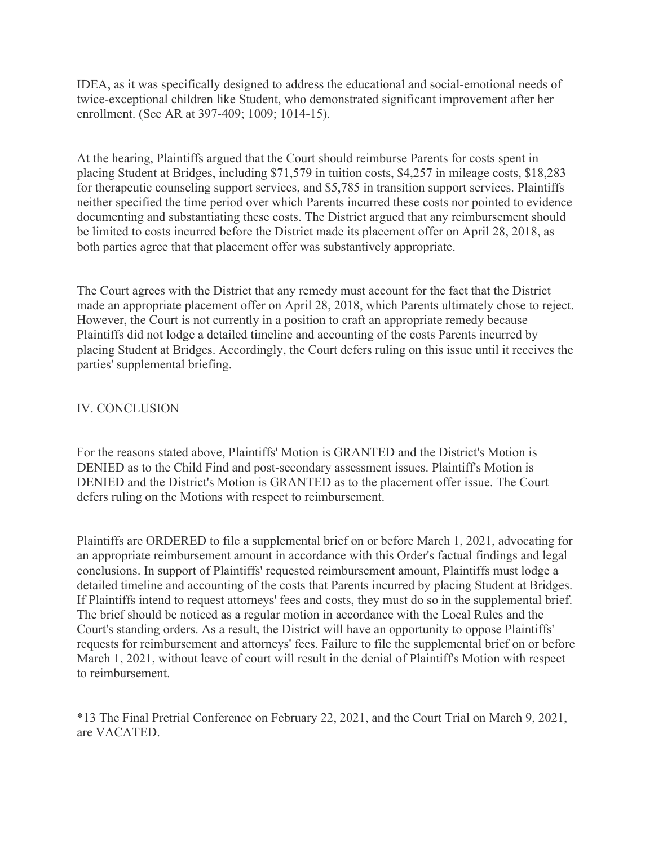IDEA, as it was specifically designed to address the educational and social-emotional needs of twice-exceptional children like Student, who demonstrated significant improvement after her enrollment. (See AR at 397-409; 1009; 1014-15).

At the hearing, Plaintiffs argued that the Court should reimburse Parents for costs spent in placing Student at Bridges, including \$71,579 in tuition costs, \$4,257 in mileage costs, \$18,283 for therapeutic counseling support services, and \$5,785 in transition support services. Plaintiffs neither specified the time period over which Parents incurred these costs nor pointed to evidence documenting and substantiating these costs. The District argued that any reimbursement should be limited to costs incurred before the District made its placement offer on April 28, 2018, as both parties agree that that placement offer was substantively appropriate.

The Court agrees with the District that any remedy must account for the fact that the District made an appropriate placement offer on April 28, 2018, which Parents ultimately chose to reject. However, the Court is not currently in a position to craft an appropriate remedy because Plaintiffs did not lodge a detailed timeline and accounting of the costs Parents incurred by placing Student at Bridges. Accordingly, the Court defers ruling on this issue until it receives the parties' supplemental briefing.

## IV. CONCLUSION

For the reasons stated above, Plaintiffs' Motion is GRANTED and the District's Motion is DENIED as to the Child Find and post-secondary assessment issues. Plaintiff's Motion is DENIED and the District's Motion is GRANTED as to the placement offer issue. The Court defers ruling on the Motions with respect to reimbursement.

Plaintiffs are ORDERED to file a supplemental brief on or before March 1, 2021, advocating for an appropriate reimbursement amount in accordance with this Order's factual findings and legal conclusions. In support of Plaintiffs' requested reimbursement amount, Plaintiffs must lodge a detailed timeline and accounting of the costs that Parents incurred by placing Student at Bridges. If Plaintiffs intend to request attorneys' fees and costs, they must do so in the supplemental brief. The brief should be noticed as a regular motion in accordance with the Local Rules and the Court's standing orders. As a result, the District will have an opportunity to oppose Plaintiffs' requests for reimbursement and attorneys' fees. Failure to file the supplemental brief on or before March 1, 2021, without leave of court will result in the denial of Plaintiff's Motion with respect to reimbursement.

\*13 The Final Pretrial Conference on February 22, 2021, and the Court Trial on March 9, 2021, are VACATED.